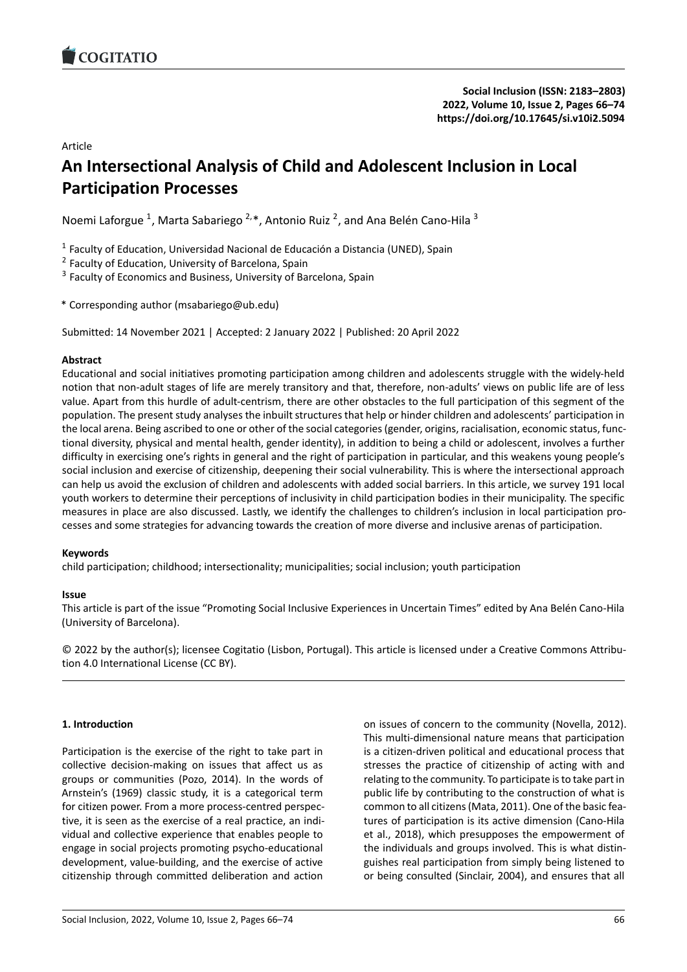# Article

# **An Intersectional Analysis of Child and Adolescen[t Inclusion in Local](https://doi.org/10.17645/si.v10i2.5094) Participation Processes**

Noemi Laforgue <sup>1</sup>, Marta Sabariego <sup>2,</sup>\*, Antonio Ruiz <sup>2</sup>, and Ana Belén Cano-Hila <sup>3</sup>

<sup>1</sup> Faculty of Education, Universidad Nacional de Educación a Distancia (UNED), Spain

<sup>2</sup> Faculty of Education, University of Barcelona, Spain

<sup>3</sup> Faculty of Economics and Business, University of Barcelona, Spain

\* Corresponding author (msabariego@ub.edu)

Submitted: 14 November 2021 | Accepted: 2 January 2022 | Published: 20 April 2022

# **Abstract**

Educational and social initiatives promoting participation among children and adolescents struggle with the widely‐held notion that non-adult stages of life are merely transitory and that, therefore, non-adults' views on public life are of less value. Apart from this hurdle of adult‐centrism, there are other obstacles to the full participation of this segment of the population. The present study analyses the inbuilt structures that help or hinder children and adolescents' participation in the local arena. Being ascribed to one or other of the social categories (gender, origins, racialisation, economic status, func‐ tional diversity, physical and mental health, gender identity), in addition to being a child or adolescent, involves a further difficulty in exercising one's rights in general and the right of participation in particular, and this weakens young people's social inclusion and exercise of citizenship, deepening their social vulnerability. This is where the intersectional approach can help us avoid the exclusion of children and adolescents with added social barriers. In this article, we survey 191 local youth workers to determine their perceptions of inclusivity in child participation bodies in their municipality. The specific measures in place are also discussed. Lastly, we identify the challenges to children's inclusion in local participation pro‐ cesses and some strategies for advancing towards the creation of more diverse and inclusive arenas of participation.

### **Keywords**

child participation; childhood; intersectionality; municipalities; social inclusion; youth participation

### **Issue**

This article is part of the issue "Promoting Social Inclusive Experiences in Uncertain Times" edited by Ana Belén Cano‐Hila (University of Barcelona).

© 2022 by the author(s); licensee Cogitatio (Lisbon, Portugal). This article is licensed under a Creative Commons Attribu‐ tion 4.0 International License (CC BY).

### **1. Introduction**

Participation is the exercise of the right to take part in collective decision‐making on issues that affect us as groups or communities (Pozo, 2014). In the words of Arnstein's (1969) classic study, it is a categorical term for citizen power. From a more process‐centred perspec‐ tive, it is seen as the exercise of a real practice, an indi‐ vidual and collective experience that enables people to engage in social projects promoting psycho‐educational development, value‐building, and the exercise of active citizenship through committed deliberation and action

on issues of concern to the community (Novella, 2012). This multi‐dimensional nature means that participation is a citizen‐driven political and educational process that stresses the practice of citizenship of acting with and relating to the community. To participate is to take part in public life by contributing to the construction of what is common to all citizens (Mata, 2011). One of the basic fea‐ tures of participation is its active dimension (Cano‐Hila et al., 2018), which presupposes the empowerment of the individuals and groups involved. This is what distin‐ guishes real participation from simply being listened to or being consulted (Sinclair, 2004), and ensures that all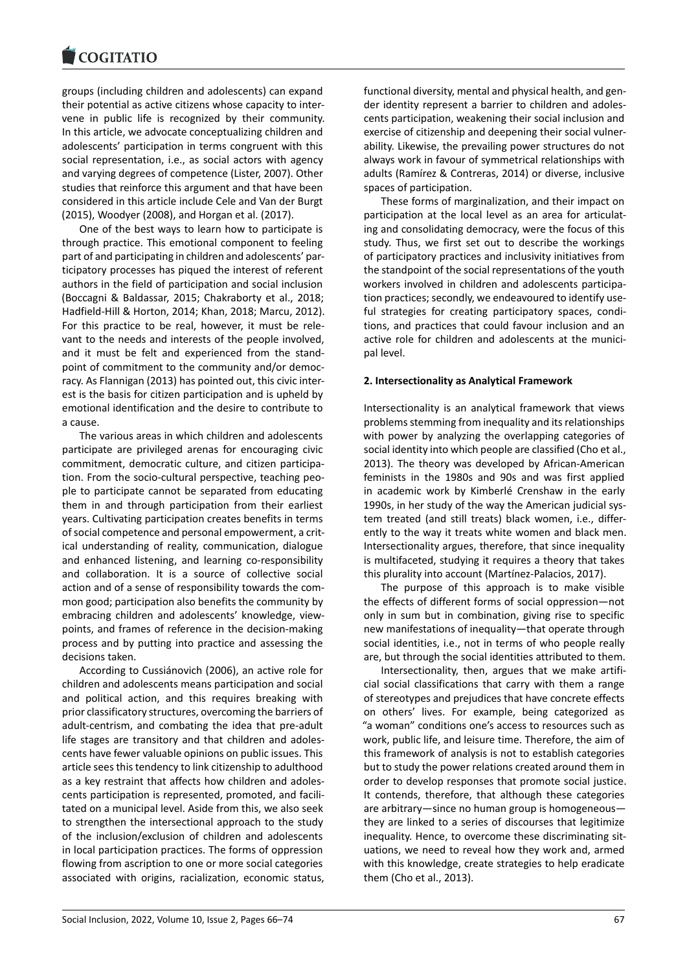#### **LOGITATIO**

groups (including children and adolescents) can expand [their potential as act](https://www.cogitatiopress.com)ive citizens whose capacity to inter‐ vene in public life is recognized by their community. In this article, we advocate conceptualizing children and adolescents' participation in terms congruent with this social representation, i.e., as social actors with agency and varying degrees of competence (Lister, 2007). Other studies that reinforce this argument and that have been considered in this article include Cele and Van der Burgt (2015), Woodyer (2008), and Horgan et al. (2017).

One of the best ways to learn how to participate is through practice. This emotional component to feeling part of and participating in children and adolescents' par‐ ticipatory processes has piqued the interest of referent authors in the field of participation and social inclusion (Boccagni & Baldassar, 2015; Chakraborty et al., 2018; Hadfield‐Hill & Horton, 2014; Khan, 2018; Marcu, 2012). For this practice to be real, however, it must be rele‐ vant to the needs and interests of the people involved, and it must be felt and experienced from the stand‐ point of commitment to the community and/or democ‐ racy. As Flannigan (2013) has pointed out, this civic inter‐ est is the basis for citizen participation and is upheld by emotional identification and the desire to contribute to a cause.

The various areas in which children and adolescents participate are privileged arenas for encouraging civic commitment, democratic culture, and citizen participa‐ tion. From the socio-cultural perspective, teaching people to participate cannot be separated from educating them in and through participation from their earliest years. Cultivating participation creates benefits in terms of social competence and personal empowerment, a crit‐ ical understanding of reality, communication, dialogue and enhanced listening, and learning co-responsibility and collaboration. It is a source of collective social action and of a sense of responsibility towards the com‐ mon good; participation also benefits the community by embracing children and adolescents' knowledge, view‐ points, and frames of reference in the decision‐making process and by putting into practice and assessing the decisions taken.

According to Cussiánovich (2006), an active role for children and adolescents means participation and social and political action, and this requires breaking with prior classificatory structures, overcoming the barriers of adult‐centrism, and combating the idea that pre‐adult life stages are transitory and that children and adoles‐ cents have fewer valuable opinions on public issues. This article sees this tendency to link citizenship to adulthood as a key restraint that affects how children and adoles‐ cents participation is represented, promoted, and facili‐ tated on a municipal level. Aside from this, we also seek to strengthen the intersectional approach to the study of the inclusion/exclusion of children and adolescents in local participation practices. The forms of oppression flowing from ascription to one or more social categories associated with origins, racialization, economic status, functional diversity, mental and physical health, and gen‐ der identity represent a barrier to children and adoles‐ cents participation, weakening their social inclusion and exercise of citizenship and deepening their social vulner‐ ability. Likewise, the prevailing power structures do not always work in favour of symmetrical relationships with adults (Ramírez & Contreras, 2014) or diverse, inclusive spaces of participation.

These forms of marginalization, and their impact on participation at the local level as an area for articulating and consolidating democracy, were the focus of this study. Thus, we first set out to describe the workings of participatory practices and inclusivity initiatives from the standpoint of the social representations of the youth workers involved in children and adolescents participa‐ tion practices; secondly, we endeavoured to identify use‐ ful strategies for creating participatory spaces, conditions, and practices that could favour inclusion and an active role for children and adolescents at the municipal level.

#### **2. Intersectionality as Analytical Framework**

Intersectionality is an analytical framework that views problems stemming from inequality and its relationships with power by analyzing the overlapping categories of social identity into which people are classified (Cho et al., 2013). The theory was developed by African‐American feminists in the 1980s and 90s and was first applied in academic work by Kimberlé Crenshaw in the early 1990s, in her study of the way the American judicial sys‐ tem treated (and still treats) black women, i.e., differ‐ ently to the way it treats white women and black men. Intersectionality argues, therefore, that since inequality is multifaceted, studying it requires a theory that takes this plurality into account (Martínez‐Palacios, 2017).

The purpose of this approach is to make visible the effects of different forms of social oppression—not only in sum but in combination, giving rise to specific new manifestations of inequality—that operate through social identities, i.e., not in terms of who people really are, but through the social identities attributed to them.

Intersectionality, then, argues that we make artifi‐ cial social classifications that carry with them a range of stereotypes and prejudices that have concrete effects on others' lives. For example, being categorized as "a woman" conditions one's access to resources such as work, public life, and leisure time. Therefore, the aim of this framework of analysis is not to establish categories but to study the power relations created around them in order to develop responses that promote social justice. It contends, therefore, that although these categories are arbitrary—since no human group is homogeneous they are linked to a series of discourses that legitimize inequality. Hence, to overcome these discriminating situations, we need to reveal how they work and, armed with this knowledge, create strategies to help eradicate them (Cho et al., 2013).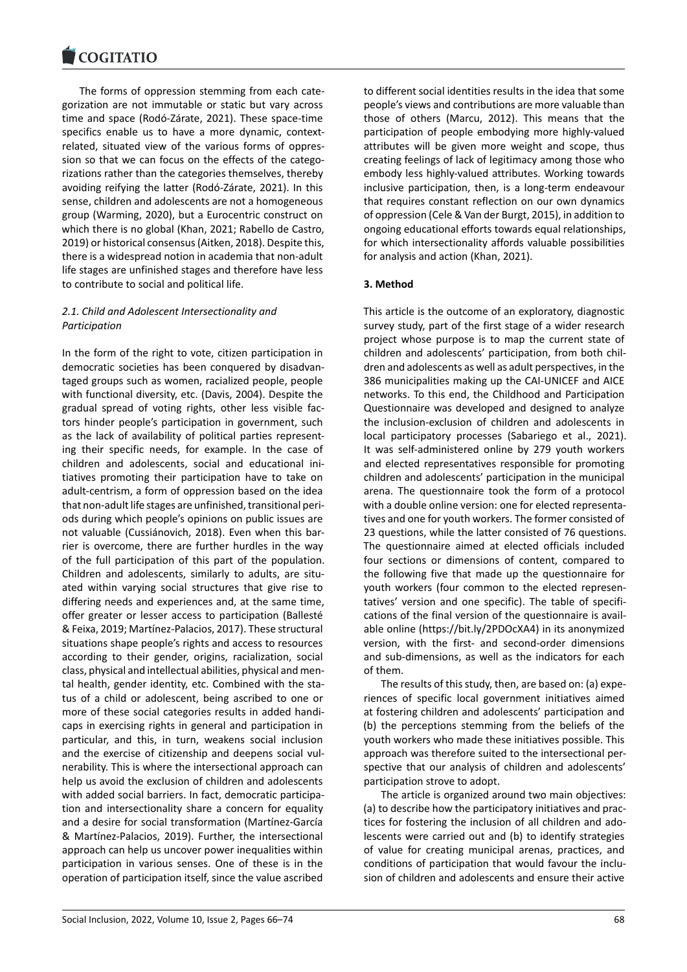The forms of oppression stemming from each cate‐ [gorization are not im](https://www.cogitatiopress.com)mutable or static but vary across time and space (Rodó‐Zárate, 2021). These space‐time specifics enable us to have a more dynamic, contextrelated, situated view of the various forms of oppres‐ sion so that we can focus on the effects of the categorizations rather than the categories themselves, thereby avoiding reifying the latter (Rodó‐Zárate, 2021). In this sense, children and adolescents are not a homogeneous group (Warming, 2020), but a Eurocentric construct on which there is no global (Khan, 2021; Rabello de Castro, 2019) or historical consensus (Aitken, 2018). Despite this, there is a widespread notion in academia that non‐adult life stages are unfinished stages and therefore have less to contribute to social and political life.

# *2.1. Child and Adolescent Intersectionality and Participation*

In the form of the right to vote, citizen participation in democratic societies has been conquered by disadvan‐ taged groups such as women, racialized people, people with functional diversity, etc. (Davis, 2004). Despite the gradual spread of voting rights, other less visible fac‐ tors hinder people's participation in government, such as the lack of availability of political parties represent‐ ing their specific needs, for example. In the case of children and adolescents, social and educational ini‐ tiatives promoting their participation have to take on adult-centrism, a form of oppression based on the idea that non‐adult life stages are unfinished, transitional peri‐ ods during which people's opinions on public issues are not valuable (Cussiánovich, 2018). Even when this bar‐ rier is overcome, there are further hurdles in the way of the full participation of this part of the population. Children and adolescents, similarly to adults, are situ‐ ated within varying social structures that give rise to differing needs and experiences and, at the same time, offer greater or lesser access to participation (Ballesté & Feixa, 2019; Martínez‐Palacios, 2017). These structural situations shape people's rights and access to resources according to their gender, origins, racialization, social class, physical and intellectual abilities, physical and men‐ tal health, gender identity, etc. Combined with the status of a child or adolescent, being ascribed to one or more of these social categories results in added handi‐ caps in exercising rights in general and participation in particular, and this, in turn, weakens social inclusion and the exercise of citizenship and deepens social vul‐ nerability. This is where the intersectional approach can help us avoid the exclusion of children and adolescents with added social barriers. In fact, democratic participa‐ tion and intersectionality share a concern for equality and a desire for social transformation (Martínez‐García & Martínez‐Palacios, 2019). Further, the intersectional approach can help us uncover power inequalities within participation in various senses. One of these is in the operation of participation itself, since the value ascribed

to different social identities results in the idea that some people's views and contributions are more valuable than those of others (Marcu, 2012). This means that the participation of people embodying more highly‐valued attributes will be given more weight and scope, thus creating feelings of lack of legitimacy among those who embody less highly‐valued attributes. Working towards inclusive participation, then, is a long‐term endeavour that requires constant reflection on our own dynamics of oppression (Cele & Van der Burgt, 2015), in addition to ongoing educational efforts towards equal relationships, for which intersectionality affords valuable possibilities for analysis and action (Khan, 2021).

# **3. Method**

This article is the outcome of an exploratory, diagnostic survey study, part of the first stage of a wider research project whose purpose is to map the current state of children and adolescents' participation, from both chil‐ dren and adolescents as well as adult perspectives, in the 386 municipalities making up the CAI‐UNICEF and AICE networks. To this end, the Childhood and Participation Questionnaire was developed and designed to analyze the inclusion‐exclusion of children and adolescents in local participatory processes (Sabariego et al., 2021). It was self‐administered online by 279 youth workers and elected representatives responsible for promoting children and adolescents' participation in the municipal arena. The questionnaire took the form of a protocol with a double online version: one for elected representatives and one for youth workers. The former consisted of 23 questions, while the latter consisted of 76 questions. The questionnaire aimed at elected officials included four sections or dimensions of content, compared to the following five that made up the questionnaire for youth workers (four common to the elected represen‐ tatives' version and one specific). The table of specifi‐ cations of the final version of the questionnaire is avail‐ able online (https://bit.ly/2PDOcXA4) in its anonymized version, with the first‐ and second‐order dimensions and sub‐dimensions, as well as the indicators for each of them.

The resu[lts of this study, then, are](https://bit.ly/2PDOcXA4) based on: (a) expe‐ riences of specific local government initiatives aimed at fostering children and adolescents' participation and (b) the perceptions stemming from the beliefs of the youth workers who made these initiatives possible. This approach was therefore suited to the intersectional per‐ spective that our analysis of children and adolescents' participation strove to adopt.

The article is organized around two main objectives: (a) to describe how the participatory initiatives and prac‐ tices for fostering the inclusion of all children and ado‐ lescents were carried out and (b) to identify strategies of value for creating municipal arenas, practices, and conditions of participation that would favour the inclu‐ sion of children and adolescents and ensure their active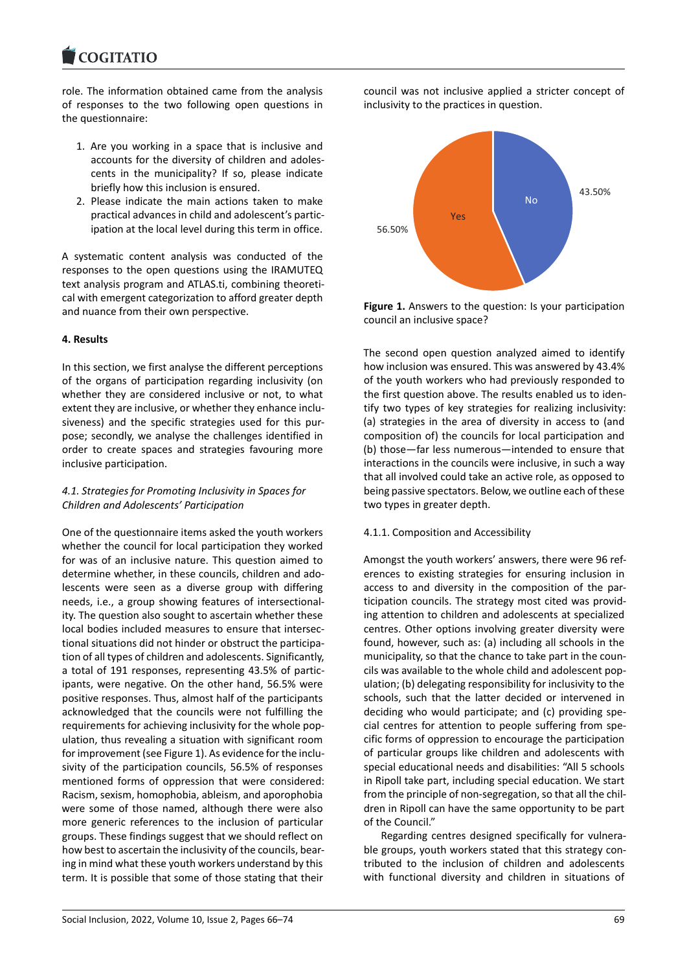#### COMITATIO

role. The information obtained came from the analysis [of responses to the](https://www.cogitatiopress.com) two following open questions in the questionnaire:

- 1. Are you working in a space that is inclusive and accounts for the diversity of children and adoles‐ cents in the municipality? If so, please indicate briefly how this inclusion is ensured.
- 2. Please indicate the main actions taken to make practical advances in child and adolescent's partic‐ ipation at the local level during this term in office.

A systematic content analysis was conducted of the responses to the open questions using the IRAMUTEQ text analysis program and ATLAS.ti, combining theoreti‐ cal with emergent categorization to afford greater depth and nuance from their own perspective.

### **4. Results**

In this section, we first analyse the different perceptions of the organs of participation regarding inclusivity (on whether they are considered inclusive or not, to what extent they are inclusive, or whether they enhance inclusiveness) and the specific strategies used for this pur‐ pose; secondly, we analyse the challenges identified in order to create spaces and strategies favouring more inclusive participation.

### *4.1. Strategies for Promoting Inclusivity in Spaces for Children and Adolescents' Participation*

One of the questionnaire items asked the youth workers whether the council for local participation they worked for was of an inclusive nature. This question aimed to determine whether, in these councils, children and ado‐ lescents were seen as a diverse group with differing needs, i.e., a group showing features of intersectional‐ ity. The question also sought to ascertain whether these local bodies included measures to ensure that intersec‐ tional situations did not hinder or obstruct the participa‐ tion of all types of children and adolescents. Significantly, a total of 191 responses, representing 43.5% of partic‐ ipants, were negative. On the other hand, 56.5% were positive responses. Thus, almost half of the participants acknowledged that the councils were not fulfilling the requirements for achieving inclusivity for the whole pop‐ ulation, thus revealing a situation with significant room for improvement (see Figure 1). As evidence for the inclu‐ sivity of the participation councils, 56.5% of responses mentioned forms of oppression that were considered: Racism, sexism, homophobia, ableism, and aporophobia were some of those named, although there were also more generic references to the inclusion of particular groups. These findings suggest that we should reflect on how best to ascertain the inclusivity of the councils, bearing in mind what these youth workers understand by this term. It is possible that some of those stating that their

council was not inclusive applied a stricter concept of inclusivity to the practices in question.



**Figure 1.** Answers to the question: Is your participation council an inclusive space?

The second open question analyzed aimed to identify how inclusion was ensured. This was answered by 43.4% of the youth workers who had previously responded to the first question above. The results enabled us to iden‐ tify two types of key strategies for realizing inclusivity: (a) strategies in the area of diversity in access to (and composition of) the councils for local participation and (b) those—far less numerous—intended to ensure that interactions in the councils were inclusive, in such a way that all involved could take an active role, as opposed to being passive spectators. Below, we outline each of these two types in greater depth.

#### 4.1.1. Composition and Accessibility

Amongst the youth workers' answers, there were 96 ref‐ erences to existing strategies for ensuring inclusion in access to and diversity in the composition of the par‐ ticipation councils. The strategy most cited was provid‐ ing attention to children and adolescents at specialized centres. Other options involving greater diversity were found, however, such as: (a) including all schools in the municipality, so that the chance to take part in the coun‐ cils was available to the whole child and adolescent pop‐ ulation; (b) delegating responsibility for inclusivity to the schools, such that the latter decided or intervened in deciding who would participate; and (c) providing spe‐ cial centres for attention to people suffering from spe‐ cific forms of oppression to encourage the participation of particular groups like children and adolescents with special educational needs and disabilities: "All 5 schools in Ripoll take part, including special education. We start from the principle of non-segregation, so that all the children in Ripoll can have the same opportunity to be part of the Council."

Regarding centres designed specifically for vulnera‐ ble groups, youth workers stated that this strategy contributed to the inclusion of children and adolescents with functional diversity and children in situations of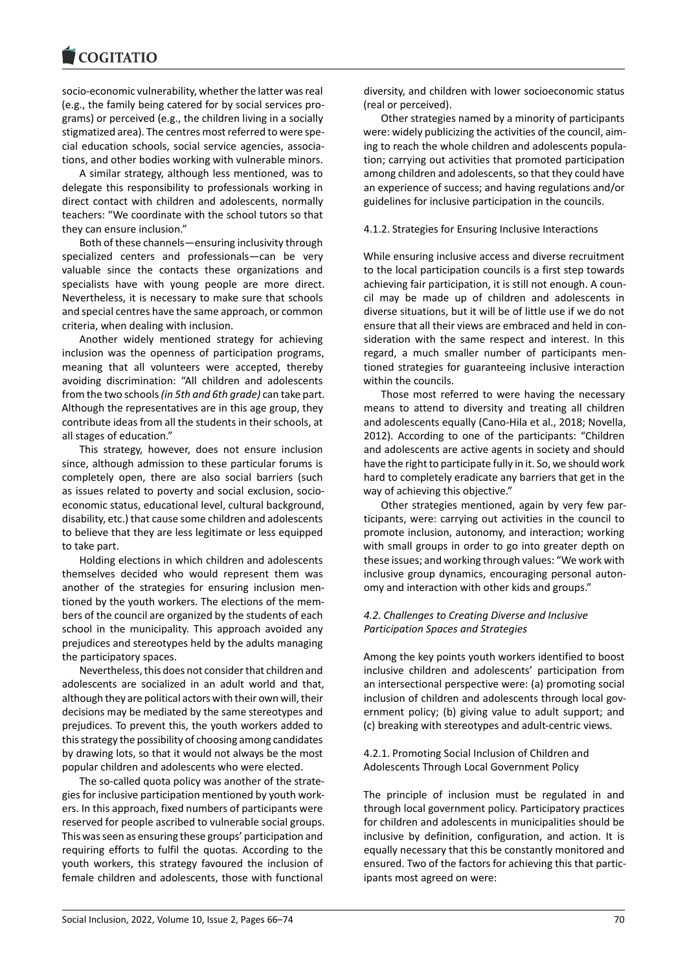#### COMITATIO

socio‐economic vulnerability, whether the latter was real [\(e.g., the family bein](https://www.cogitatiopress.com)g catered for by social services pro‐ grams) or perceived (e.g., the children living in a socially stigmatized area). The centres most referred to were spe‐ cial education schools, social service agencies, associa‐ tions, and other bodies working with vulnerable minors.

A similar strategy, although less mentioned, was to delegate this responsibility to professionals working in direct contact with children and adolescents, normally teachers: "We coordinate with the school tutors so that they can ensure inclusion."

Both of these channels—ensuring inclusivity through specialized centers and professionals—can be very valuable since the contacts these organizations and specialists have with young people are more direct. Nevertheless, it is necessary to make sure that schools and special centres have the same approach, or common criteria, when dealing with inclusion.

Another widely mentioned strategy for achieving inclusion was the openness of participation programs, meaning that all volunteers were accepted, thereby avoiding discrimination: "All children and adolescents from the two schools*(in 5th and 6th grade)* can take part. Although the representatives are in this age group, they contribute ideas from all the students in their schools, at all stages of education."

This strategy, however, does not ensure inclusion since, although admission to these particular forums is completely open, there are also social barriers (such as issues related to poverty and social exclusion, socio‐ economic status, educational level, cultural background, disability, etc.) that cause some children and adolescents to believe that they are less legitimate or less equipped to take part.

Holding elections in which children and adolescents themselves decided who would represent them was another of the strategies for ensuring inclusion men‐ tioned by the youth workers. The elections of the mem‐ bers of the council are organized by the students of each school in the municipality. This approach avoided any prejudices and stereotypes held by the adults managing the participatory spaces.

Nevertheless, this does not consider that children and adolescents are socialized in an adult world and that, although they are political actors with their own will, their decisions may be mediated by the same stereotypes and prejudices. To prevent this, the youth workers added to this strategy the possibility of choosing among candidates by drawing lots, so that it would not always be the most popular children and adolescents who were elected.

The so-called quota policy was another of the strategies for inclusive participation mentioned by youth work‐ ers. In this approach, fixed numbers of participants were reserved for people ascribed to vulnerable social groups. This was seen as ensuring these groups' participation and requiring efforts to fulfil the quotas. According to the youth workers, this strategy favoured the inclusion of female children and adolescents, those with functional diversity, and children with lower socioeconomic status (real or perceived).

Other strategies named by a minority of participants were: widely publicizing the activities of the council, aiming to reach the whole children and adolescents popula‐ tion; carrying out activities that promoted participation among children and adolescents, so that they could have an experience of success; and having regulations and/or guidelines for inclusive participation in the councils.

### 4.1.2. Strategies for Ensuring Inclusive Interactions

While ensuring inclusive access and diverse recruitment to the local participation councils is a first step towards achieving fair participation, it is still not enough. A coun‐ cil may be made up of children and adolescents in diverse situations, but it will be of little use if we do not ensure that all their views are embraced and held in consideration with the same respect and interest. In this regard, a much smaller number of participants men‐ tioned strategies for guaranteeing inclusive interaction within the councils.

Those most referred to were having the necessary means to attend to diversity and treating all children and adolescents equally (Cano‐Hila et al., 2018; Novella, 2012). According to one of the participants: "Children and adolescents are active agents in society and should have the right to participate fully in it. So, we should work hard to completely eradicate any barriers that get in the way of achieving this objective."

Other strategies mentioned, again by very few par‐ ticipants, were: carrying out activities in the council to promote inclusion, autonomy, and interaction; working with small groups in order to go into greater depth on these issues; and working through values: "We work with inclusive group dynamics, encouraging personal auton‐ omy and interaction with other kids and groups."

### *4.2. Challenges to Creating Diverse and Inclusive Participation Spaces and Strategies*

Among the key points youth workers identified to boost inclusive children and adolescents' participation from an intersectional perspective were: (a) promoting social inclusion of children and adolescents through local government policy; (b) giving value to adult support; and (c) breaking with stereotypes and adult‐centric views.

### 4.2.1. Promoting Social Inclusion of Children and Adolescents Through Local Government Policy

The principle of inclusion must be regulated in and through local government policy. Participatory practices for children and adolescents in municipalities should be inclusive by definition, configuration, and action. It is equally necessary that this be constantly monitored and ensured. Two of the factors for achieving this that partic‐ ipants most agreed on were: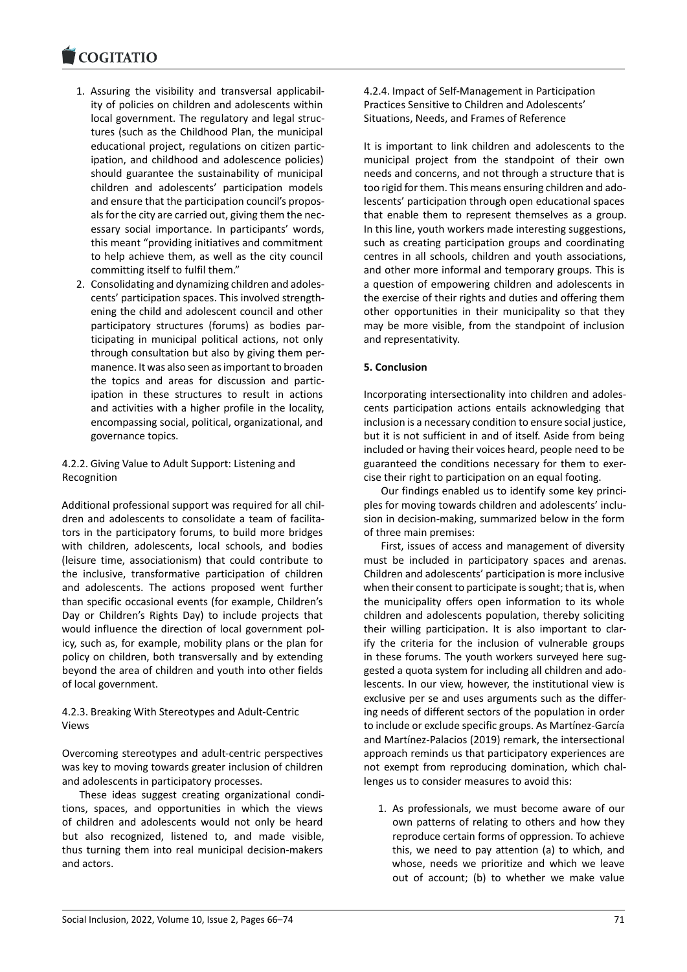- 1. Assuring the visibility and transversal applicabil‐ [ity of policies](https://www.cogitatiopress.com) on children and adolescents within local government. The regulatory and legal struc‐ tures (such as the Childhood Plan, the municipal educational project, regulations on citizen partic‐ ipation, and childhood and adolescence policies) should guarantee the sustainability of municipal children and adolescents' participation models and ensure that the participation council's propos‐ als for the city are carried out, giving them the nec‐ essary social importance. In participants' words, this meant "providing initiatives and commitment to help achieve them, as well as the city council committing itself to fulfil them."
- 2. Consolidating and dynamizing children and adoles‐ cents' participation spaces. This involved strength‐ ening the child and adolescent council and other participatory structures (forums) as bodies par‐ ticipating in municipal political actions, not only through consultation but also by giving them per‐ manence. It was also seen as important to broaden the topics and areas for discussion and partic‐ ipation in these structures to result in actions and activities with a higher profile in the locality, encompassing social, political, organizational, and governance topics.

### 4.2.2. Giving Value to Adult Support: Listening and Recognition

Additional professional support was required for all chil‐ dren and adolescents to consolidate a team of facilitators in the participatory forums, to build more bridges with children, adolescents, local schools, and bodies (leisure time, associationism) that could contribute to the inclusive, transformative participation of children and adolescents. The actions proposed went further than specific occasional events (for example, Children's Day or Children's Rights Day) to include projects that would influence the direction of local government pol‐ icy, such as, for example, mobility plans or the plan for policy on children, both transversally and by extending beyond the area of children and youth into other fields of local government.

### 4.2.3. Breaking With Stereotypes and Adult‐Centric Views

Overcoming stereotypes and adult‐centric perspectives was key to moving towards greater inclusion of children and adolescents in participatory processes.

These ideas suggest creating organizational condi‐ tions, spaces, and opportunities in which the views of children and adolescents would not only be heard but also recognized, listened to, and made visible, thus turning them into real municipal decision‐makers and actors.

4.2.4. Impact of Self‐Management in Participation Practices Sensitive to Children and Adolescents' Situations, Needs, and Frames of Reference

It is important to link children and adolescents to the municipal project from the standpoint of their own needs and concerns, and not through a structure that is too rigid for them. This means ensuring children and ado‐ lescents' participation through open educational spaces that enable them to represent themselves as a group. In this line, youth workers made interesting suggestions, such as creating participation groups and coordinating centres in all schools, children and youth associations, and other more informal and temporary groups. This is a question of empowering children and adolescents in the exercise of their rights and duties and offering them other opportunities in their municipality so that they may be more visible, from the standpoint of inclusion and representativity.

# **5. Conclusion**

Incorporating intersectionality into children and adoles‐ cents participation actions entails acknowledging that inclusion is a necessary condition to ensure social justice, but it is not sufficient in and of itself. Aside from being included or having their voices heard, people need to be guaranteed the conditions necessary for them to exer‐ cise their right to participation on an equal footing.

Our findings enabled us to identify some key princi‐ ples for moving towards children and adolescents' inclu‐ sion in decision‐making, summarized below in the form of three main premises:

First, issues of access and management of diversity must be included in participatory spaces and arenas. Children and adolescents' participation is more inclusive when their consent to participate is sought; that is, when the municipality offers open information to its whole children and adolescents population, thereby soliciting their willing participation. It is also important to clar‐ ify the criteria for the inclusion of vulnerable groups in these forums. The youth workers surveyed here suggested a quota system for including all children and ado‐ lescents. In our view, however, the institutional view is exclusive per se and uses arguments such as the differ‐ ing needs of different sectors of the population in order to include or exclude specific groups. As Martínez‐García and Martínez‐Palacios (2019) remark, the intersectional approach reminds us that participatory experiences are not exempt from reproducing domination, which chal‐ lenges us to consider measures to avoid this:

1. As professionals, we must become aware of our own patterns of relating to others and how they reproduce certain forms of oppression. To achieve this, we need to pay attention (a) to which, and whose, needs we prioritize and which we leave out of account; (b) to whether we make value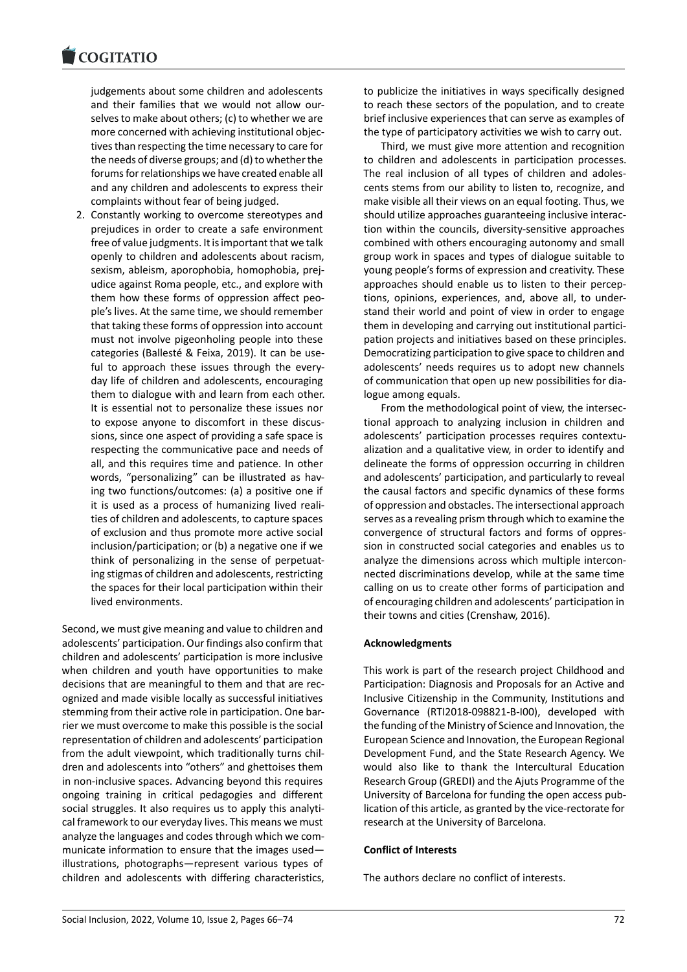#### COGITATIO

judgements about some children and adolescents [and their fam](https://www.cogitatiopress.com)ilies that we would not allow our‐ selves to make about others; (c) to whether we are more concerned with achieving institutional objec‐ tives than respecting the time necessary to care for the needs of diverse groups; and (d) to whether the forums for relationships we have created enable all and any children and adolescents to express their complaints without fear of being judged.

2. Constantly working to overcome stereotypes and prejudices in order to create a safe environment free of value judgments. It is important that we talk openly to children and adolescents about racism, sexism, ableism, aporophobia, homophobia, prej‐ udice against Roma people, etc., and explore with them how these forms of oppression affect peo‐ ple's lives. At the same time, we should remember that taking these forms of oppression into account must not involve pigeonholing people into these categories (Ballesté & Feixa, 2019). It can be use‐ ful to approach these issues through the every‐ day life of children and adolescents, encouraging them to dialogue with and learn from each other. It is essential not to personalize these issues nor to expose anyone to discomfort in these discus‐ sions, since one aspect of providing a safe space is respecting the communicative pace and needs of all, and this requires time and patience. In other words, "personalizing" can be illustrated as having two functions/outcomes: (a) a positive one if it is used as a process of humanizing lived reali‐ ties of children and adolescents, to capture spaces of exclusion and thus promote more active social inclusion/participation; or (b) a negative one if we think of personalizing in the sense of perpetuat‐ ing stigmas of children and adolescents, restricting the spaces for their local participation within their lived environments.

Second, we must give meaning and value to children and adolescents' participation. Our findings also confirm that children and adolescents' participation is more inclusive when children and youth have opportunities to make decisions that are meaningful to them and that are rec‐ ognized and made visible locally as successful initiatives stemming from their active role in participation. One bar‐ rier we must overcome to make this possible is the social representation of children and adolescents' participation from the adult viewpoint, which traditionally turns children and adolescents into "others" and ghettoises them in non‐inclusive spaces. Advancing beyond this requires ongoing training in critical pedagogies and different social struggles. It also requires us to apply this analytical framework to our everyday lives. This means we must analyze the languages and codes through which we com‐ municate information to ensure that the images used illustrations, photographs—represent various types of children and adolescents with differing characteristics, to publicize the initiatives in ways specifically designed to reach these sectors of the population, and to create brief inclusive experiences that can serve as examples of the type of participatory activities we wish to carry out.

Third, we must give more attention and recognition to children and adolescents in participation processes. The real inclusion of all types of children and adoles‐ cents stems from our ability to listen to, recognize, and make visible all their views on an equal footing. Thus, we should utilize approaches guaranteeing inclusive interac‐ tion within the councils, diversity‐sensitive approaches combined with others encouraging autonomy and small group work in spaces and types of dialogue suitable to young people's forms of expression and creativity. These approaches should enable us to listen to their percep‐ tions, opinions, experiences, and, above all, to under‐ stand their world and point of view in order to engage them in developing and carrying out institutional partici‐ pation projects and initiatives based on these principles. Democratizing participation to give space to children and adolescents' needs requires us to adopt new channels of communication that open up new possibilities for dia‐ logue among equals.

From the methodological point of view, the intersec‐ tional approach to analyzing inclusion in children and adolescents' participation processes requires contextu‐ alization and a qualitative view, in order to identify and delineate the forms of oppression occurring in children and adolescents' participation, and particularly to reveal the causal factors and specific dynamics of these forms of oppression and obstacles. The intersectional approach serves as a revealing prism through which to examine the convergence of structural factors and forms of oppres‐ sion in constructed social categories and enables us to analyze the dimensions across which multiple intercon‐ nected discriminations develop, while at the same time calling on us to create other forms of participation and of encouraging children and adolescents' participation in their towns and cities (Crenshaw, 2016).

### **Acknowledgments**

This work is part of the research project Childhood and Participation: Diagnosis and Proposals for an Active and Inclusive Citizenship in the Community, Institutions and Governance (RTI2018‐098821‐B‐I00), developed with the funding of the Ministry of Science and Innovation, the European Science and Innovation, the European Regional Development Fund, and the State Research Agency. We would also like to thank the Intercultural Education Research Group (GREDI) and the Ajuts Programme of the University of Barcelona for funding the open access pub‐ lication of this article, as granted by the vice‐rectorate for research at the University of Barcelona.

#### **Conflict of Interests**

The authors declare no conflict of interests.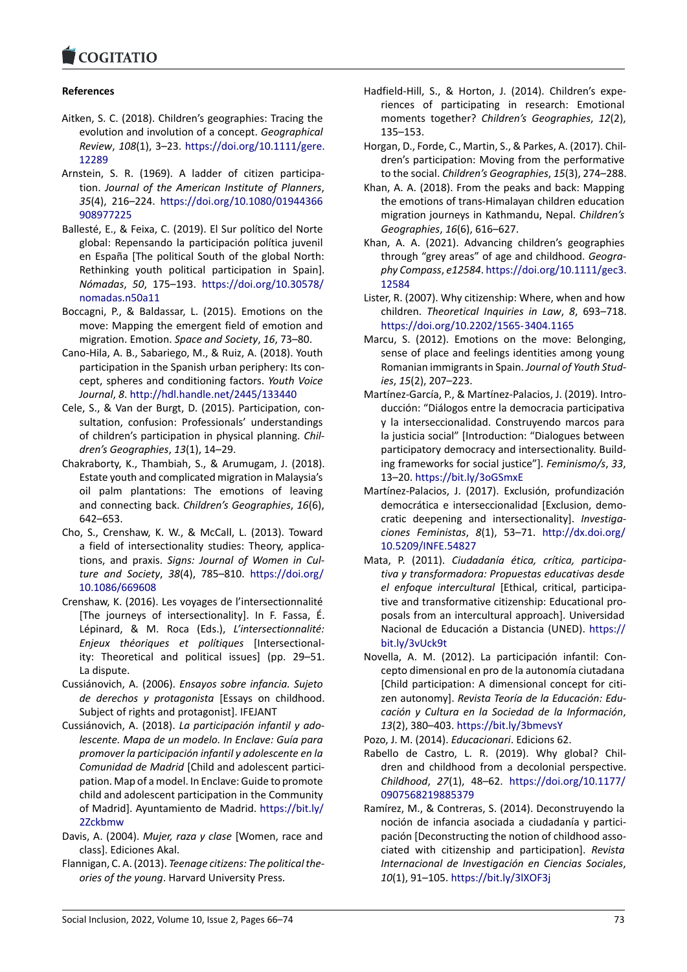#### COMITATIO

### **References**

- [Aitken, S. C. \(2018\).](https://www.cogitatiopress.com) Children's geographies: Tracing the evolution and involution of a concept. *Geographical Review*, *108*(1), 3–23. https://doi.org/10.1111/gere. 12289
- Arnstein, S. R. (1969). A ladder of citizen participa‐ tion. *Journal of the American Institute of Planners*, *35*(4), 216–224. https[://doi.org/10.1080/01944366](https://doi.org/10.1111/gere.12289) [90897](https://doi.org/10.1111/gere.12289)7225
- Ballesté, E., & Feixa, C. (2019). El Sur político del Norte global: Repensando la participación política juvenil en España [The [political South of the global North:](https://doi.org/10.1080/01944366908977225) [Rethinking](https://doi.org/10.1080/01944366908977225) youth political participation in Spain]. *Nómadas*, *50*, 175–193. https://doi.org/10.30578/ nomadas.n50a11
- Boccagni, P., & Baldassar, L. (2015). Emotions on the move: Mapping the emergent field of emotion and migration. Emotion. *Spac[e and Society](https://doi.org/10.30578/nomadas.n50a11)*, *16*, 73–80.
- Ca[no‐Hila, A. B., Saba](https://doi.org/10.30578/nomadas.n50a11)riego, M., & Ruiz, A. (2018). Youth participation in the Spanish urban periphery: Its con‐ cept, spheres and conditioning factors. *Youth Voice Journal*, *8*. http://hdl.handle.net/2445/133440
- Cele, S., & Van der Burgt, D. (2015). Participation, con‐ sultation, confusion: Professionals' understandings of children's participation in physical planning. *Chil‐ dren's Geographies*, *13*[\(1\), 14–29.](http://hdl.handle.net/2445/133440)
- Chakraborty, K., Thambiah, S., & Arumugam, J. (2018). Estate youth and complicated migration in Malaysia's oil palm plantations: The emotions of leaving and connecting back. *Children's Geographies*, *16*(6), 642–653.
- Cho, S., Crenshaw, K. W., & McCall, L. (2013). Toward a field of intersectionality studies: Theory, applica‐ tions, and praxis. *Signs: Journal of Women in Cul‐ ture and Society*, *38*(4), 785–810. https://doi.org/ 10.1086/669608
- Crenshaw, K. (2016). Les voyages de l'intersectionnalité [The journeys of intersectionality]. In F. Fassa, É. Lépinard, & M. Roca (Eds.), *L'in[tersectionnalité:](https://doi.org/10.1086/669608) [Enjeux théoriqu](https://doi.org/10.1086/669608)es et polítiques* [Intersectional‐ ity: Theoretical and political issues] (pp. 29–51. La dispute.
- Cussiánovich, A. (2006). *Ensayos sobre infancia. Sujeto de derechos y protagonista* [Essays on childhood. Subject of rights and protagonist]. IFEJANT
- Cussiánovich, A. (2018). *La participación infantil y ado‐ lescente. Mapa de un modelo. In Enclave: Guía para promover la participación infantil y adolescente en la Comunidad de Madrid* [Child and adolescent partici‐ pation. Map of a model. In Enclave: Guide to promote child and adolescent participation in the Community of Madrid]. Ayuntamiento de Madrid. https://bit.ly/ 2Zckbmw
- Davis, A. (2004). *Mujer, raza y clase* [Women, race and class]. Ediciones Akal.
- Flannigan, C. A. (2013). *Teenage citizens: T[he political the‐](https://bit.ly/2Zckbmw) [ories of th](https://bit.ly/2Zckbmw)e young*. Harvard University Press.
- Hadfield-Hill, S., & Horton, J. (2014). Children's experiences of participating in research: Emotional moments together? *Children's Geographies*, *12*(2), 135–153.
- Horgan, D., Forde, C., Martin, S., & Parkes, A. (2017). Chil‐ dren's participation: Moving from the performative to the social. *Children's Geographies*, *15*(3), 274–288.
- Khan, A. A. (2018). From the peaks and back: Mapping the emotions of trans‐Himalayan children education migration journeys in Kathmandu, Nepal. *Children's Geographies*, *16*(6), 616–627.
- Khan, A. A. (2021). Advancing children's geographies through "grey areas" of age and childhood. *Geogra‐ phy Compass*, *e12584*. https://doi.org/10.1111/gec3. 12584
- Lister, R. (2007). Why citizenship: Where, when and how children. *Theoretical Inquiries in Law*, *8*, 693–718. https://doi.org/10.22[02/1565‐3404.1165](https://doi.org/10.1111/gec3.12584)
- Ma[rcu, S.](https://doi.org/10.1111/gec3.12584) (2012). Emotions on the move: Belonging, sense of place and feelings identities among young Romanian immigrants in Spain. *Journal of Youth Stud‐ ies*, *15*[\(2\), 207–223.](https://doi.org/10.2202/1565-3404.1165)
- Martínez‐García, P., & Martínez‐Palacios, J. (2019). Intro‐ ducción: "Diálogos entre la democracia participativa y la interseccionalidad. Construyendo marcos para la justicia social" [Introduction: "Dialogues between participatory democracy and intersectionality. Build‐ ing frameworks for social justice"]. *Feminismo/s*, *33*, 13–20. https://bit.ly/3oGSmxE
- Martínez‐Palacios, J. (2017). Exclusión, profundización democrática e interseccionalidad [Exclusion, demo‐ cratic deepening and intersectionality]. *Investiga‐ ciones [Feministas](https://bit.ly/3oGSmxE)*, *8*(1), 53–71. http://dx.doi.org/ 10.5209/INFE.54827
- Mata, P. (2011). *Ciudadanía ética, crítica, participa‐ tiva y transformadora: Propuestas educativas desde el enfoque intercultural* [Ethical, [critical, participa‐](http://dx.doi.org/10.5209/INFE.54827) [tive and transformat](http://dx.doi.org/10.5209/INFE.54827)ive citizenship: Educational pro‐ posals from an intercultural approach]. Universidad Nacional de Educación a Distancia (UNED). https:// bit.ly/3vUck9t
- Novella, A. M. (2012). La participación infantil: Con‐ cepto dimensional en pro de la autonomía ciutadana [Child participation: A dimensional concept [for citi‐](https://bit.ly/3vUck9t) [zen autonomy](https://bit.ly/3vUck9t)]. *Revista Teoría de la Educación: Edu‐ cación y Cultura en la Sociedad de la Información*, *13*(2), 380–403. https://bit.ly/3bmevsY

Pozo, J. M. (2014). *Educacionari*. Edicions 62.

- Rabello de Castro, L. R. (2019). Why global? Chil‐ dren and childhood from a decolonial perspective. *Childhood*, *27*(1), 48–62. [https://doi.](https://bit.ly/3bmevsY)org/10.1177/ 0907568219885379
- Ramírez, M., & Contreras, S. (2014). Deconstruyendo la noción de infancia asociada a ciudadanía y partici‐ pación [Deconstructing the notion of childhood asso[ciated with citizens](https://doi.org/10.1177/0907568219885379)hip and participation]. *Revista Internacional de Investigación en Ciencias Sociales*, *10*(1), 91–105. https://bit.ly/3lXOF3j